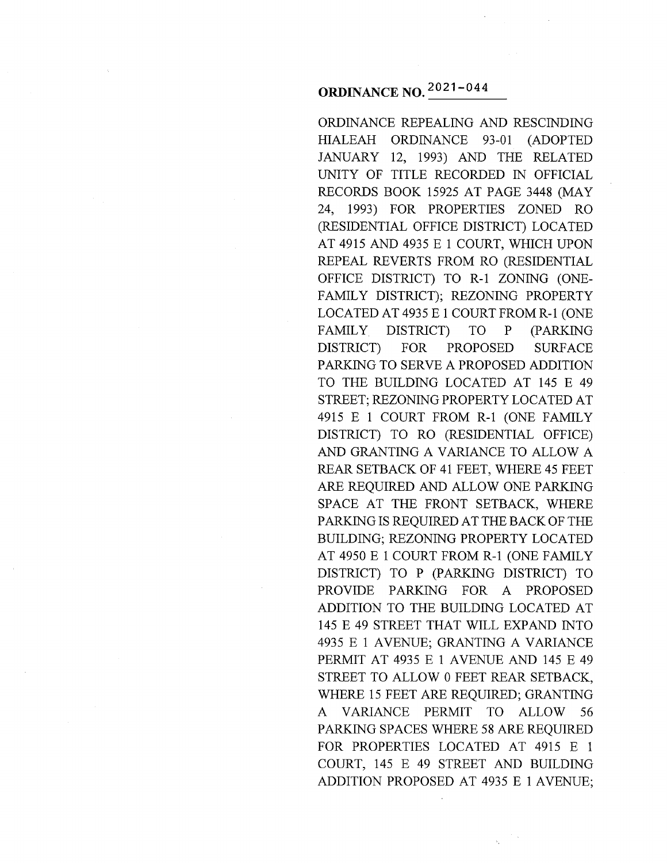# **ORDINANCE NO.**  $2021 - 044$

ORDINANCE REPEALING AND RESCINDING HIALEAH ORDINANCE 93-01 (ADOPTED JANUARY 12, 1993) AND THE RELATED UNITY OF TITLE RECORDED IN OFFICIAL RECORDS BOOK 15925 AT PAGE 3448 (MAY 24, 1993) FOR PROPERTIES ZONED RO (RESIDENTIAL OFFICE DISTRICT) LOCATED AT 4915 AND 4935 E 1 COURT, WHICH UPON REPEAL REVERTS FROM RO (RESIDENTIAL OFFICE DISTRICT) TO R-1 ZONING (ONE-FAMILY DISTRICT); REZONING PROPERTY LOCATED AT 4935 E 1 COURT FROM R-1 (ONE FAMILY DISTRICT) TO P (PARKING DISTRICT) FOR PROPOSED SURFACE PARKING TO SERVE A PROPOSED ADDITION TO THE BUILDING LOCATED AT 145 E 49 STREET; REZONING PROPERTY LOCATED AT 4915 E 1 COURT FROM R-1 (ONE FAMILY DISTRICT) TO RO (RESIDENTIAL OFFICE) AND GRANTING A VARIANCE TO ALLOW A REAR SETBACK OF 41 FEET, WHERE 45 FEET ARE REQUIRED AND ALLOW ONE PARKING SPACE AT THE FRONT SETBACK, WHERE PARKING IS REQUIRED AT THE BACK OF THE BUILDING; REZONING PROPERTY LOCATED AT 4950 E 1 COURT FROM R-1 (ONE FAMILY DISTRICT) TO P (PARKING DISTRICT) TO PROVIDE PARKING FOR A PROPOSED ADDITION TO THE BUILDING LOCATED AT 145 E 49 STREET THAT WILL EXPAND INTO 4935 E 1 AVENUE; GRANTING A VARIANCE PERMIT AT 4935 E 1 AVENUE AND 145 E 49 STREET TO ALLOW 0 FEET REAR SETBACK, WHERE 15 FEET ARE REQUIRED; GRANTING A VARIANCE PERMIT TO ALLOW 56 PARKING SPACES WHERE 58 ARE REQUIRED FOR PROPERTIES LOCATED AT 4915 E 1 COURT, 145 E 49 STREET AND BUILDING ADDITION PROPOSED AT 4935 E 1 AVENUE;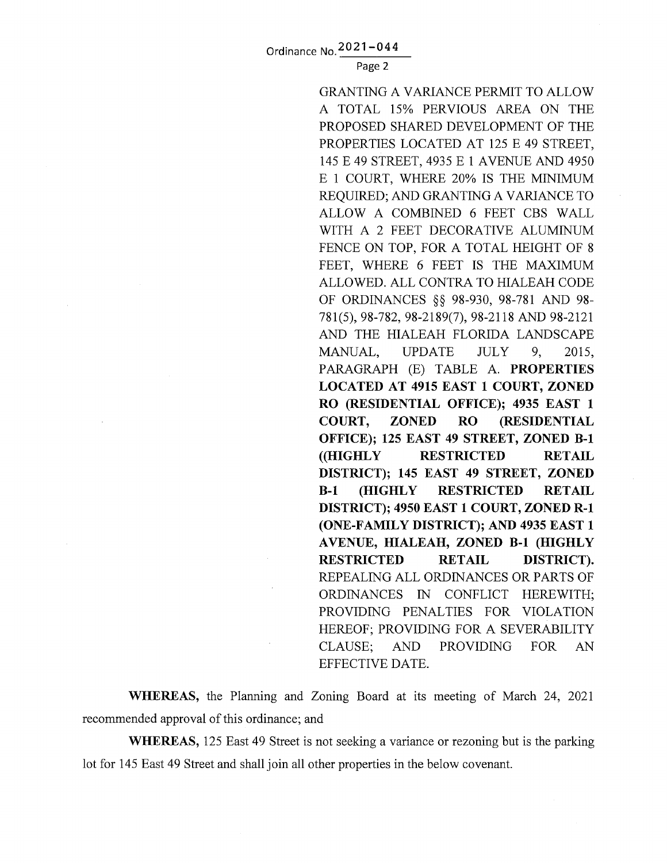Page 2

GRANTING A VARIANCE PERMIT TO ALLOW A TOTAL 15% PERVIOUS AREA ON THE PROPOSED SHARED DEVELOPMENT OF THE PROPERTIES LOCATED AT 125 E 49 STREET, 145 E 49 STREET, 4935 E 1 AVENUE AND 4950 E 1 COURT, WHERE 20% IS THE MINIMUM REQUIRED; AND GRANTING A VARIANCE TO ALLOW A COMBINED 6 FEET CBS WALL WITH A 2 FEET DECORATIVE ALUMINUM FENCE ON TOP, FOR A TOTAL HEIGHT OF 8 FEET, WHERE 6 FEET IS THE MAXIMUM ALLOWED. ALL CONTRA TO HIALEAH CODE OF ORDINANCES §§ 98-930, 98-781 AND 98- 781(5), 98-782, 98-2189(7), 98-2118 AND 98-2121 AND THE HIALEAH FLORIDA LANDSCAPE MANUAL, UPDATE JULY 9, 2015, PARAGRAPH (E) TABLE A. **PROPERTIES LOCATED AT 4915 EAST 1 COURT, ZONED RO (RESIDENTIAL OFFICE); 4935 EAST 1 COURT, ZONED RO (RESIDENTIAL OFFICE); 125 EAST 49 STREET, ZONED B-1 ((HIGHLY RESTRICTED RETAIL DISTRICT); 145 EAST 49 STREET, ZONED B-1 (HIGHLY RESTRICTED RETAIL DISTRICT); 4950EAST1 COURT, ZONED R-1 (ONE-FAMILY DISTRICT); AND 4935EAST1 A VENUE, HIALEAH, ZONED B-1 (HIGHLY RESTRICTED RETAIL DISTRICT).**  REPEALING ALL ORDINANCES OR PARTS OF ORDINANCES IN CONFLICT HEREWITH; PROVIDING PENALTIES FOR VIOLATION HEREOF; PROVIDING FOR A SEVERABILITY CLAUSE; AND PROVIDING FOR AN EFFECTIVE DATE.

**WHEREAS,** the Planning and Zoning Board at its meeting of March 24, 2021 recommended approval of this ordinance; and

**WHEREAS,** 125 East 49 Street is not seeking a variance or rezoning but is the parking lot for 145 East 49 Street and shall join all other properties in the below covenant.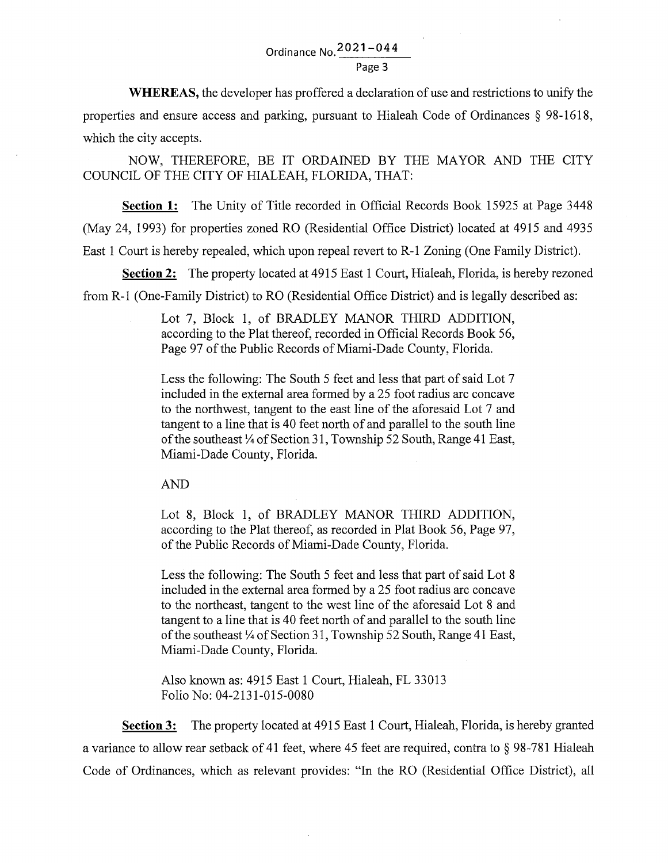Page 3

**WHEREAS,** the developer has proffered a declaration of use and restrictions to unify the properties and ensure access and parking, pursuant to Hialeah Code of Ordinances § 98-1618, which the city accepts.

NOW, THEREFORE, BE IT ORDAINED BY THE MAYOR AND THE CITY COUNCIL OF THE CITY OF HIALEAH, FLORIDA, THAT:

**Section 1:** The Unity of Title recorded in Official Records Book 15925 at Page 3448 (May 24, 1993) for properties zoned RO (Residential Office District) located at 4915 and 4935 East 1 Court is hereby repealed, which upon repeal revert to R-1 Zoning (One Family District).

**Section** 2: The property located at 4915 East 1 Court, Hialeah, Florida, is hereby rezoned from R-1 (One-Family District) to RO (Residential Office District) and is legally described as:

> Lot 7, Block 1, of BRADLEY MANOR THIRD ADDITION, according to the Plat thereof, recorded in Official Records Book 56, Page 97 of the Public Records of Miami-Dade County, Florida.

> Less the following: The South 5 feet and less that part of said Lot 7 included in the external area formed by a 25 foot radius arc concave to the northwest, tangent to the east line of the aforesaid Lot 7 and tangent to a line that is 40 feet north of and parallel to the south line of the southeast *Y4* of Section 31, Township 52 South, Range 41 East, Miami-Dade County, Florida.

AND

Lot 8, Block 1, of BRADLEY MANOR THIRD ADDITION, according to the Plat thereof, as recorded in Plat Book 56, Page 97, of the Public Records of Miami-Dade County, Florida.

Less the following: The South 5 feet and less that part of said Lot 8 included in the external area formed by a 25 foot radius arc concave to the northeast, tangent to the west line of the aforesaid Lot 8 and tangent to a line that is 40 feet north of and parallel to the south line of the southeast *Y4* of Section 31, Township 52 South, Range 41 East, Miami-Dade County, Florida.

Also known as: 4915 East 1 Court, Hialeah, FL 33013 Folio No: 04-2131-015-0080

**Section** 3: The property located at 4915 East 1 Court, Hialeah, Florida, is hereby granted a variance to allow rear setback of 41 feet, where 45 feet are required, contra to § 98-781 Hialeah Code of Ordinances, which as relevant provides: "In the RO (Residential Office District), all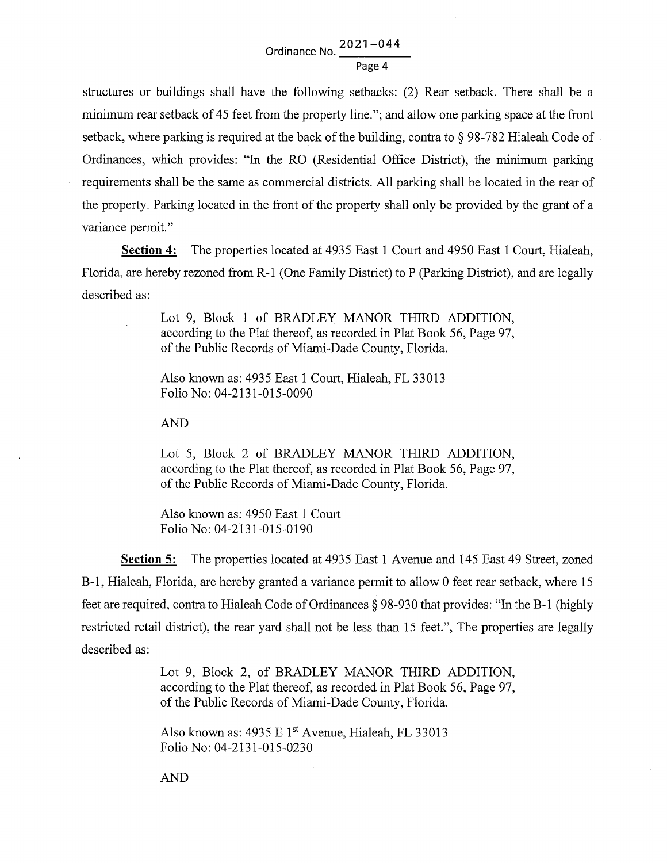structures or buildings shall have the following setbacks: (2) Rear setback. There shall be a minimum rear setback of 45 feet from the property line."; and allow one parking space at the front setback, where parking is required at the back of the building, contra to § 98-782 Hialeah Code of Ordinances, which provides: "In the RO (Residential Office District), the minimum parking requirements shall be the same as commercial districts. All parking shall be located in the rear of the property. Parking located in the front of the property shall only be provided by the grant of a variance permit."

**Section 4:** The properties located at 4935 East 1 Court and 4950 East 1 Court, Hialeah, Florida, are hereby rezoned from R-1 (One Family District) to P (Parking District), and are legally described as:

> Lot 9, Block 1 of BRADLEY MANOR THIRD ADDITION, according to the Plat thereof, as recorded in Plat Book 56, Page 97, of the Public Records of Miami-Dade County, Florida.

Also known as: 4935 East 1 Court, Hialeah, FL 33013 Folio No: 04-2131-015-0090

AND

Lot 5, Block 2 of BRADLEY MANOR THIRD ADDITION, according to the Plat thereof, as recorded in Plat Book 56, Page 97, of the Public Records of Miami-Dade County, Florida.

Also known as: 4950 East 1 Court Folio No: 04-2131-015-0190

**Section** 5: The properties located at 4935 East 1 Avenue and 145 East 49 Street, zoned B-1, Hialeah, Florida, are hereby granted a variance permit to allow 0 feet rear setback, where 15 feet are required, contra to Hialeah Code of Ordinances § 98-930 that provides: "In the B-1 (highly restricted retail district), the rear yard shall not be less than 15 feet.", The properties are legally described as:

> Lot 9, Block 2, of BRADLEY MANOR THIRD ADDITION, according to the Plat thereof, as recorded in Plat Book 56, Page 97, of the Public Records of Miami-Dade County, Florida.

Also known as: 4935 E 1<sup>st</sup> Avenue, Hialeah, FL 33013 Folio No: 04-2131-015-0230

AND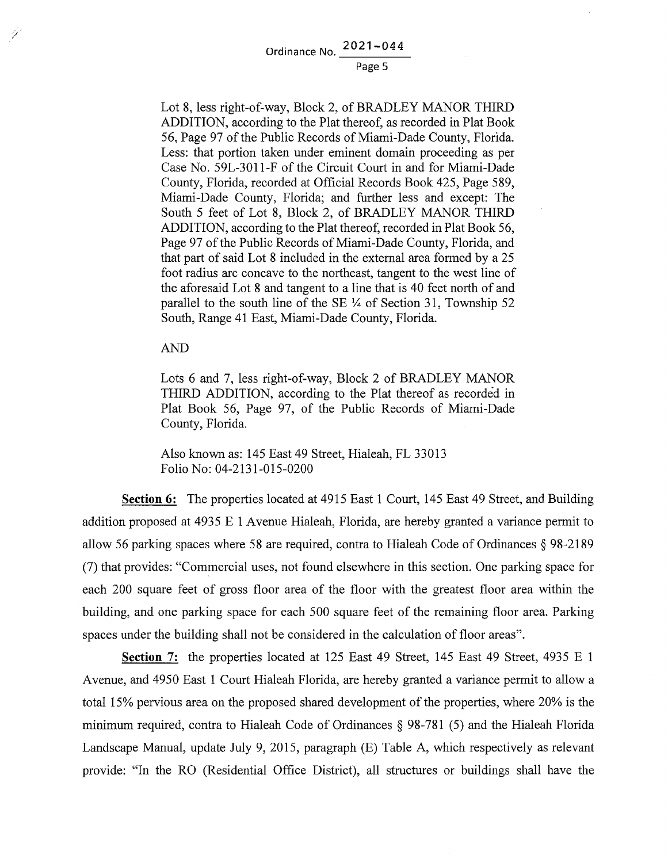#### Page 5

Lot 8, less right-of-way, Block 2, of BRADLEY MANOR THIRD ADDITION, according to the Plat thereof, as recorded in Plat Book 56, Page 97 of the Public Records of Miami-Dade County, Florida. Less: that portion taken under eminent domain proceeding as per Case No. 59L-3011-F of the Circuit Court in and for Miami-Dade County, Florida, recorded at Official Records Book 425, Page 589, Miami-Dade County, Florida; and further less and except: The South 5 feet of Lot 8, Block 2, of BRADLEY MANOR THIRD ADDITION, according to the Plat thereof, recorded in Plat Book 56, Page 97 of the Public Records of Miami-Dade County, Florida, and that part of said Lot 8 included in the external area formed by a 25 foot radius arc concave to the northeast, tangent to the west line of the aforesaid Lot 8 and tangent to a line that is 40 feet north of and parallel to the south line of the SE  $\frac{1}{4}$  of Section 31, Township 52 South, Range 41 East, Miami-Dade County, Florida.

AND

Y)

Lots 6 and 7, less right-of-way, Block 2 of BRADLEY MANOR THIRD ADDITION, according to the Plat thereof as recorded in Plat Book 56, Page 97, of the Public Records of Miami-Dade County, Florida.

Also known as: 145 East 49 Street, Hialeah, FL 33013 Folio No: 04-2131-015-0200

**Section 6:** The properties located at 4915 East 1 Court, 145 East 49 Street, and Building addition proposed at 4935 E 1 Avenue Hialeah, Florida, are hereby granted a variance permit to allow 56 parking spaces where 58 are required, contra to Hialeah Code of Ordinances§ 98-2189 (7) that provides: "Commercial uses, not found elsewhere in this section. One parking space for each 200 square feet of gross floor area of the floor with the greatest floor area within the building, and one parking space for each 500 square feet of the remaining floor area. Parking spaces under the building shall not be considered in the calculation of floor areas".

**Section** 7: the properties located at 125 East 49 Street, 145 East 49 Street, 4935 E 1 A venue, and 4950 East 1 Court Hialeah Florida, are hereby granted a variance permit to allow a total 15% pervious area on the proposed shared development of the properties, where 20% is the minimum required, contra to Hialeah Code of Ordinances § 98-781 (5) and the Hialeah Florida Landscape Manual, update July 9, 2015, paragraph (E) Table A, which respectively as relevant provide: "In the RO (Residential Office District), all structures or buildings shall have the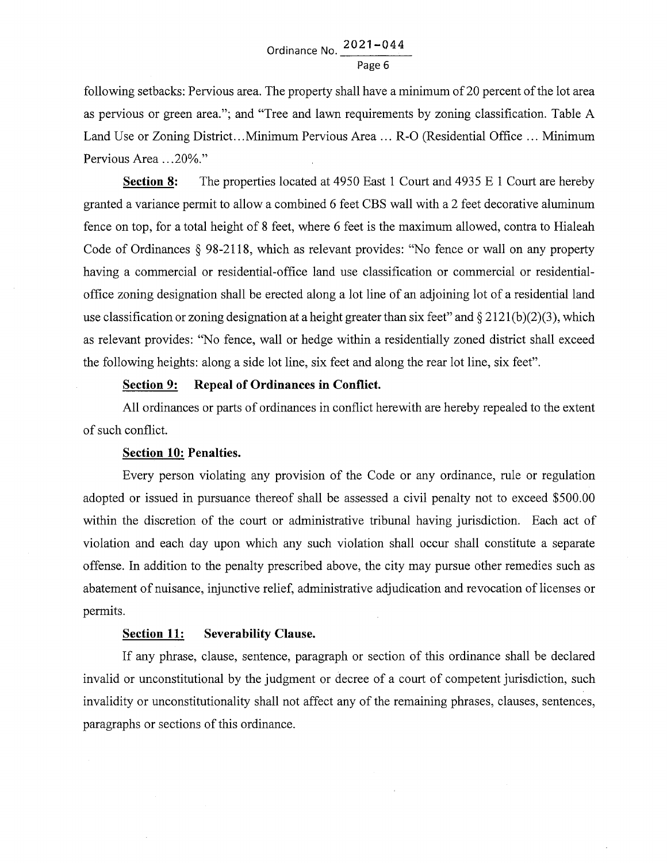following setbacks: Pervious area. The property shall have a minimum of 20 percent of the lot area as pervious or green area."; and "Tree and lawn requirements by zoning classification. Table A Land Use or Zoning District... Minimum Pervious Area ... R-O (Residential Office ... Minimum Pervious Area ...20%."

**Section 8:** The properties located at 4950 East 1 Court and 4935 E 1 Court are hereby granted a variance permit to allow a combined 6 feet CBS wall with a 2 feet decorative aluminum fence on top, for a total height of 8 feet, where 6 feet is the maximum allowed, contra to Hialeah Code of Ordinances § 98-2118, which as relevant provides: "No fence or wall on any property having a commercial or residential-office land use classification or commercial or residentialoffice zoning designation shall be erected along a lot line of an adjoining lot of a residential land use classification or zoning designation at a height greater than six feet" and  $\S 2121(b)(2)(3)$ , which as relevant provides: "No fence, wall or hedge within a residentially zoned district shall exceed the following heights: along a side lot line, six feet and along the rear lot line, six feet".

## **Section 9: Repeal of Ordinances in Conflict.**

All ordinances or parts of ordinances in conflict herewith are hereby repealed to the extent of such conflict.

#### **Section 10: Penalties.**

Every person violating any provision of the Code or any ordinance, rule or regulation adopted or issued in pursuance thereof shall be assessed a civil penalty not to exceed \$500.00 within the discretion of the court or administrative tribunal having jurisdiction. Each act of violation and each day upon which any such violation shall occur shall constitute a separate offense. In addition to the penalty prescribed above, the city may pursue other remedies such as abatement of nuisance, injunctive relief, administrative adjudication and revocation of licenses or permits.

### **Section 11: Severability Clause.**

If any phrase, clause, sentence, paragraph or section of this ordinance shall be declared invalid or unconstitutional by the judgment or decree of a court of competent jurisdiction, such invalidity or unconstitutionality shall not affect any of the remaining phrases, clauses, sentences, paragraphs or sections of this ordinance.